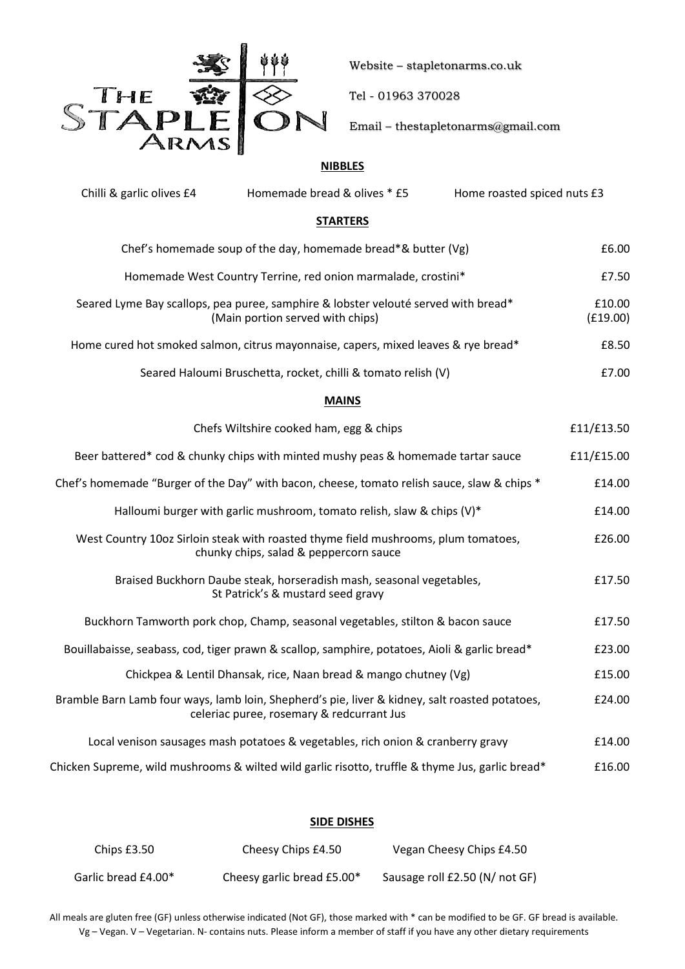

Website – stapletonarms.co.uk

Tel - 01963 370028

Email – thestapletonarms@gmail.com

# **NIBBLES**

| Chilli & garlic olives £4                                                                                              | Homemade bread & olives * £5                                                                                                                | Home roasted spiced nuts £3 |                    |
|------------------------------------------------------------------------------------------------------------------------|---------------------------------------------------------------------------------------------------------------------------------------------|-----------------------------|--------------------|
|                                                                                                                        | <b>STARTERS</b>                                                                                                                             |                             |                    |
| Chef's homemade soup of the day, homemade bread*& butter (Vg)                                                          |                                                                                                                                             |                             |                    |
| Homemade West Country Terrine, red onion marmalade, crostini*                                                          |                                                                                                                                             |                             |                    |
| Seared Lyme Bay scallops, pea puree, samphire & lobster velouté served with bread*<br>(Main portion served with chips) |                                                                                                                                             |                             | £10.00<br>(E19.00) |
|                                                                                                                        | Home cured hot smoked salmon, citrus mayonnaise, capers, mixed leaves & rye bread*                                                          |                             | £8.50              |
|                                                                                                                        | Seared Haloumi Bruschetta, rocket, chilli & tomato relish (V)                                                                               |                             | £7.00              |
|                                                                                                                        | <b>MAINS</b>                                                                                                                                |                             |                    |
|                                                                                                                        | Chefs Wiltshire cooked ham, egg & chips                                                                                                     |                             | £11/£13.50         |
|                                                                                                                        | Beer battered* cod & chunky chips with minted mushy peas & homemade tartar sauce                                                            |                             | £11/£15.00         |
|                                                                                                                        | Chef's homemade "Burger of the Day" with bacon, cheese, tomato relish sauce, slaw & chips *                                                 |                             | £14.00             |
|                                                                                                                        | Halloumi burger with garlic mushroom, tomato relish, slaw & chips (V)*                                                                      |                             | £14.00             |
|                                                                                                                        | West Country 10oz Sirloin steak with roasted thyme field mushrooms, plum tomatoes,<br>chunky chips, salad & peppercorn sauce                |                             | £26.00             |
|                                                                                                                        | Braised Buckhorn Daube steak, horseradish mash, seasonal vegetables,<br>St Patrick's & mustard seed gravy                                   |                             | £17.50             |
|                                                                                                                        | Buckhorn Tamworth pork chop, Champ, seasonal vegetables, stilton & bacon sauce                                                              |                             | £17.50             |
|                                                                                                                        | Bouillabaisse, seabass, cod, tiger prawn & scallop, samphire, potatoes, Aioli & garlic bread*                                               |                             | £23.00             |
|                                                                                                                        | Chickpea & Lentil Dhansak, rice, Naan bread & mango chutney (Vg)                                                                            |                             | £15.00             |
|                                                                                                                        | Bramble Barn Lamb four ways, lamb loin, Shepherd's pie, liver & kidney, salt roasted potatoes,<br>celeriac puree, rosemary & redcurrant Jus |                             | £24.00             |
|                                                                                                                        | Local venison sausages mash potatoes & vegetables, rich onion & cranberry gravy                                                             |                             | £14.00             |
|                                                                                                                        | *Chicken Supreme, wild mushrooms & wilted wild garlic risotto, truffle & thyme Jus, garlic bread                                            |                             | £16.00             |

## **SIDE DISHES**

| Chips $£3.50$       | Cheesy Chips £4.50         | Vegan Cheesy Chips £4.50       |  |
|---------------------|----------------------------|--------------------------------|--|
| Garlic bread £4.00* | Cheesy garlic bread £5.00* | Sausage roll £2.50 (N/ not GF) |  |

All meals are gluten free (GF) unless otherwise indicated (Not GF), those marked with \* can be modified to be GF. GF bread is available. Vg – Vegan. V – Vegetarian. N- contains nuts. Please inform a member of staff if you have any other dietary requirements